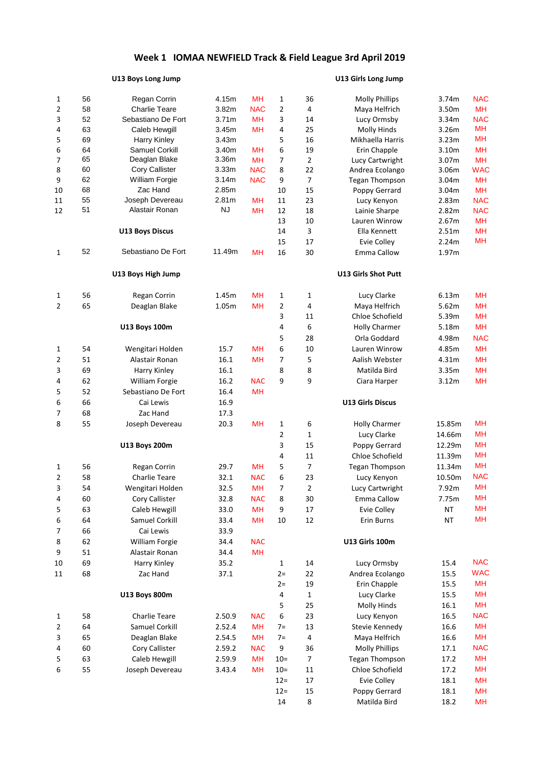# **Week 1 IOMAA NEWFIELD Track & Field League 3rd April 2019**

## **U13 Boys Long Jump U13 Girls Long Jump**

| 1                                    | 56 | Regan Corrin           | 4.15m             | MН         | $\mathbf{1}$   | 36             | <b>Molly Phillips</b>      | 3.74m                   | <b>NAC</b> |
|--------------------------------------|----|------------------------|-------------------|------------|----------------|----------------|----------------------------|-------------------------|------------|
| 2                                    | 58 | <b>Charlie Teare</b>   | 3.82m             | <b>NAC</b> | $\overline{2}$ | 4              | Maya Helfrich              | 3.50m                   | <b>MH</b>  |
| 3                                    | 52 | Sebastiano De Fort     | 3.71 <sub>m</sub> | MН         | 3              | 14             | Lucy Ormsby                | 3.34m                   | <b>NAC</b> |
| 4                                    | 63 | Caleb Hewgill          | 3.45m             | MН         | 4              | 25             | <b>Molly Hinds</b>         | 3.26m                   | <b>MH</b>  |
| 5                                    | 69 | <b>Harry Kinley</b>    | 3.43m             |            | 5              | 16             | Mikhaella Harris           | 3.23m                   | <b>MH</b>  |
| 6                                    | 64 | Samuel Corkill         | 3.40m             | <b>MH</b>  | 6              | 19             | Erin Chapple               | 3.10m                   | <b>MH</b>  |
| 7                                    | 65 | Deaglan Blake          | 3.36m             | <b>MH</b>  | 7              | $\overline{2}$ | Lucy Cartwright            | 3.07m                   | <b>MH</b>  |
| 8                                    | 60 | Cory Callister         | 3.33m             | <b>NAC</b> | 8              | 22             | Andrea Ecolango            | 3.06m                   | <b>WAC</b> |
| 9                                    | 62 | <b>William Forgie</b>  | 3.14m             | <b>NAC</b> | 9              | $\overline{7}$ | <b>Tegan Thompson</b>      | 3.04m                   | <b>MH</b>  |
| 10                                   | 68 | Zac Hand               | 2.85m             |            | 10             | 15             | Poppy Gerrard              | 3.04m                   | <b>MH</b>  |
| 11                                   | 55 | Joseph Devereau        | 2.81m             | <b>MH</b>  | 11             | 23             | Lucy Kenyon                | 2.83m                   | <b>NAC</b> |
| 12                                   | 51 | Alastair Ronan         | <b>NJ</b>         | MН         | 12             | 18             | Lainie Sharpe              | 2.82m                   | <b>NAC</b> |
|                                      |    |                        |                   |            | 13             | 10             | Lauren Winrow              | 2.67m                   | <b>MH</b>  |
|                                      |    | <b>U13 Boys Discus</b> |                   |            | 14             | 3              | Ella Kennett               | 2.51m                   | <b>MH</b>  |
|                                      |    |                        |                   |            | 15             | 17             | Evie Colley                | 2.24m                   | <b>MH</b>  |
| $\mathbf{1}$                         | 52 | Sebastiano De Fort     | 11.49m            | MН         | 16             | 30             | Emma Callow                | 1.97m                   |            |
|                                      |    | U13 Boys High Jump     |                   |            |                |                | <b>U13 Girls Shot Putt</b> |                         |            |
| 1                                    | 56 | Regan Corrin           | 1.45m             | MН         | 1              | 1              | Lucy Clarke                | 6.13m                   | MH         |
| 2                                    | 65 | Deaglan Blake          | 1.05m             | MH         | $\overline{2}$ | 4              | Maya Helfrich              | 5.62m                   | <b>MH</b>  |
|                                      |    |                        |                   |            | 3              | 11             | Chloe Schofield            | 5.39m<br>5.18m<br>4.98m | <b>MH</b>  |
| 1<br>2<br>3<br>4<br>5<br>6<br>7<br>8 |    | <b>U13 Boys 100m</b>   |                   |            | 4              | 6              | <b>Holly Charmer</b>       |                         | <b>MH</b>  |
|                                      |    |                        |                   |            | 5              | 28             | Orla Goddard               |                         | <b>NAC</b> |
|                                      | 54 | Wengitari Holden       | 15.7              | MH         | 6              | 10             | Lauren Winrow              | 4.85m                   | <b>MH</b>  |
|                                      | 51 | Alastair Ronan         | 16.1              | MH         | 7              | 5              | Aalish Webster             | 4.31m                   | <b>MH</b>  |
|                                      | 69 | Harry Kinley           | 16.1              |            | 8              | 8              | Matilda Bird               | 3.35m                   | <b>MH</b>  |
|                                      | 62 | <b>William Forgie</b>  | 16.2              | <b>NAC</b> | 9              | 9              | Ciara Harper               | 3.12m                   | <b>MH</b>  |
|                                      | 52 | Sebastiano De Fort     | 16.4              | <b>MH</b>  |                |                |                            |                         |            |
|                                      | 66 | Cai Lewis              | 16.9              |            |                |                | <b>U13 Girls Discus</b>    |                         |            |
|                                      | 68 | Zac Hand               | 17.3              |            |                |                |                            |                         |            |
|                                      | 55 |                        |                   |            |                |                |                            |                         | MН         |
|                                      |    | Joseph Devereau        | 20.3              | MН         | 1              | 6              | <b>Holly Charmer</b>       | 15.85m                  | <b>MH</b>  |
|                                      |    |                        |                   |            | 2              | 1              | Lucy Clarke                | 14.66m                  | <b>MH</b>  |
|                                      |    | <b>U13 Boys 200m</b>   |                   |            | 3              | 15             | Poppy Gerrard              | 12.29m                  |            |
|                                      |    |                        |                   |            | 4              | 11             | Chloe Schofield            | 11.39m                  | <b>MH</b>  |
| 1                                    | 56 | Regan Corrin           | 29.7              | MН         | 5              | $\overline{7}$ | <b>Tegan Thompson</b>      | 11.34m                  | MH         |
| 2                                    | 58 | <b>Charlie Teare</b>   | 32.1              | <b>NAC</b> | 6              | 23             | Lucy Kenyon                | 10.50m                  | <b>NAC</b> |
| 3                                    | 54 | Wengitari Holden       | 32.5              | MН         | 7              | $\overline{2}$ | Lucy Cartwright            | 7.92m                   | <b>MH</b>  |
| 4                                    | 60 | Cory Callister         | 32.8              | <b>NAC</b> | 8              | 30             | Emma Callow                | 7.75m                   | <b>MH</b>  |
| 5                                    | 63 | Caleb Hewgill          | 33.0              | <b>MH</b>  | 9              | 17             | Evie Colley                | <b>NT</b>               | MH         |
| 6                                    | 64 | Samuel Corkill         | 33.4              | <b>MH</b>  | 10             | 12             | Erin Burns                 | <b>NT</b>               | <b>MH</b>  |
| 7                                    | 66 | Cai Lewis              | 33.9              |            |                |                |                            |                         |            |
| 8                                    | 62 | William Forgie         | 34.4              | <b>NAC</b> |                |                | <b>U13 Girls 100m</b>      |                         |            |
| 9                                    | 51 | Alastair Ronan         | 34.4              | MH         |                |                |                            |                         |            |
| 10                                   | 69 | Harry Kinley           | 35.2              |            | $\mathbf{1}$   | 14             | Lucy Ormsby                | 15.4                    | <b>NAC</b> |
| 11                                   | 68 | Zac Hand               | 37.1              |            | $2 =$          | 22             | Andrea Ecolango            | 15.5                    | <b>WAC</b> |
|                                      |    |                        |                   |            | $2 =$          | 19             | Erin Chapple               | 15.5                    | <b>MH</b>  |
|                                      |    | <b>U13 Boys 800m</b>   |                   |            | 4              | 1              | Lucy Clarke                | 15.5                    | <b>MH</b>  |
|                                      |    |                        |                   |            | 5              | 25             | <b>Molly Hinds</b>         | 16.1                    | <b>MH</b>  |
| 1                                    | 58 | Charlie Teare          | 2.50.9            | <b>NAC</b> | 6              | 23             | Lucy Kenyon                | 16.5                    | <b>NAC</b> |
| 2                                    | 64 | Samuel Corkill         | 2.52.4            | <b>MH</b>  | $7=$           | 13             | Stevie Kennedy             | 16.6                    | <b>MH</b>  |
| 3                                    | 65 | Deaglan Blake          | 2.54.5            | <b>MH</b>  | $7=$           | 4              | Maya Helfrich              | 16.6                    | <b>MH</b>  |
| 4                                    | 60 | Cory Callister         | 2.59.2            | <b>NAC</b> | 9              | 36             | <b>Molly Phillips</b>      | 17.1                    | <b>NAC</b> |
| 5                                    | 63 | Caleb Hewgill          | 2.59.9            | <b>MH</b>  | $10=$          | $\overline{7}$ | <b>Tegan Thompson</b>      | 17.2                    | <b>MH</b>  |
|                                      | 55 | Joseph Devereau        |                   | MН         | $10=$          | 11             | Chloe Schofield            | 17.2                    | MH         |
| 6                                    |    |                        | 3.43.4            |            |                |                |                            |                         |            |
|                                      |    |                        |                   |            | $12 =$         | 17             | Evie Colley                | 18.1                    | <b>MH</b>  |
|                                      |    |                        |                   |            | $12 =$         | 15             | Poppy Gerrard              | 18.1                    | MH         |
|                                      |    |                        |                   |            | 14             | 8              | Matilda Bird               | 18.2                    | MH         |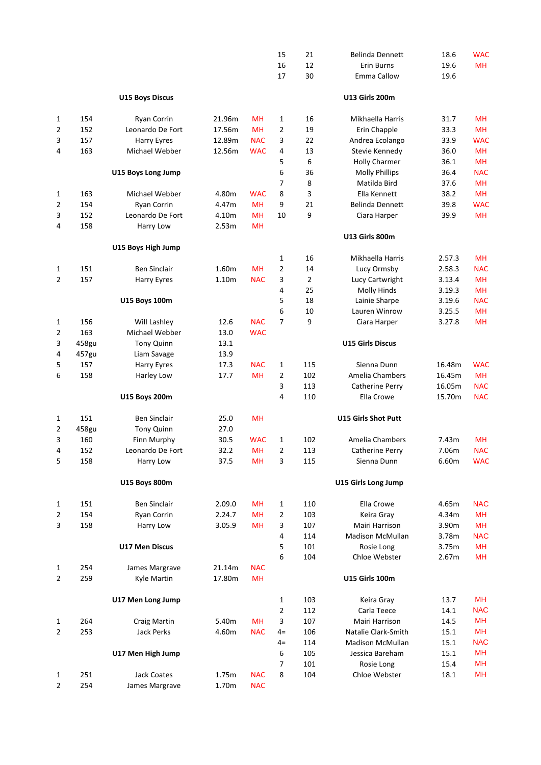|                |              |                           |              |            | 15                             | 21             | <b>Belinda Dennett</b>        | 18.6                                                                                                                                                                                                                                                                     | <b>WAC</b> |
|----------------|--------------|---------------------------|--------------|------------|--------------------------------|----------------|-------------------------------|--------------------------------------------------------------------------------------------------------------------------------------------------------------------------------------------------------------------------------------------------------------------------|------------|
|                |              |                           |              |            | 16                             | 12             | Erin Burns                    | 19.6                                                                                                                                                                                                                                                                     | <b>MH</b>  |
|                |              |                           |              |            | 17                             | 30             | <b>Emma Callow</b>            | 19.6                                                                                                                                                                                                                                                                     |            |
|                |              | <b>U15 Boys Discus</b>    |              |            |                                |                | <b>U13 Girls 200m</b>         |                                                                                                                                                                                                                                                                          |            |
| 1              | 154          | Ryan Corrin               | 21.96m       | <b>MH</b>  | $\mathbf{1}$                   | 16             | Mikhaella Harris              | 31.7                                                                                                                                                                                                                                                                     | <b>MH</b>  |
| 2              | 152          | Leonardo De Fort          | 17.56m       | <b>MH</b>  | $\overline{2}$                 | 19             | Erin Chapple                  | 33.3                                                                                                                                                                                                                                                                     | <b>MH</b>  |
| 3              | 157          | Harry Eyres               | 12.89m       | <b>NAC</b> | 3                              | 22             | Andrea Ecolango               | 33.9                                                                                                                                                                                                                                                                     | <b>WAC</b> |
| 4              | 163          | Michael Webber            | 12.56m       | <b>WAC</b> | 4                              | 13             | Stevie Kennedy                | 36.0                                                                                                                                                                                                                                                                     | <b>MH</b>  |
|                |              |                           |              |            | 5                              | 6              | <b>Holly Charmer</b>          | 36.1                                                                                                                                                                                                                                                                     | <b>MH</b>  |
|                |              | U15 Boys Long Jump        |              |            | 6                              | 36             | <b>Molly Phillips</b>         |                                                                                                                                                                                                                                                                          | <b>NAC</b> |
|                |              |                           |              |            | $\overline{7}$                 | 8              | Matilda Bird                  |                                                                                                                                                                                                                                                                          | <b>MH</b>  |
| 1              | 163          | Michael Webber            | 4.80m        | <b>WAC</b> | 8                              | 3              | Ella Kennett                  |                                                                                                                                                                                                                                                                          | <b>MH</b>  |
| 2              | 154          | Ryan Corrin               | 4.47m        | <b>MH</b>  | 9                              | 21             | <b>Belinda Dennett</b>        |                                                                                                                                                                                                                                                                          | <b>WAC</b> |
| 3              | 152          | Leonardo De Fort          | 4.10m        | <b>MH</b>  | 10                             | 9              | Ciara Harper                  |                                                                                                                                                                                                                                                                          | MН         |
| 4              | 158          | Harry Low                 | 2.53m        | <b>MH</b>  |                                |                | U13 Girls 800m                |                                                                                                                                                                                                                                                                          |            |
|                |              | U15 Boys High Jump        |              |            |                                |                |                               |                                                                                                                                                                                                                                                                          |            |
|                |              |                           |              |            | $\mathbf{1}$                   | 16             | Mikhaella Harris              |                                                                                                                                                                                                                                                                          | <b>MH</b>  |
| 1              | 151          | <b>Ben Sinclair</b>       | 1.60m        | <b>MH</b>  | $\overline{2}$                 | 14             | Lucy Ormsby                   |                                                                                                                                                                                                                                                                          | <b>NAC</b> |
| 2              | 157          | Harry Eyres               | 1.10m        | <b>NAC</b> | 3                              | $\overline{2}$ | Lucy Cartwright               |                                                                                                                                                                                                                                                                          | <b>MH</b>  |
|                |              |                           |              |            | 4                              | 25             | <b>Molly Hinds</b>            |                                                                                                                                                                                                                                                                          | MH         |
|                |              | <b>U15 Boys 100m</b>      |              |            | 5                              | 18             | Lainie Sharpe                 |                                                                                                                                                                                                                                                                          | <b>NAC</b> |
|                |              |                           |              |            | 6                              | 10             | Lauren Winrow                 |                                                                                                                                                                                                                                                                          | <b>MH</b>  |
| 1              | 156          | Will Lashley              | 12.6         | <b>NAC</b> | $\overline{7}$                 | 9              | Ciara Harper                  |                                                                                                                                                                                                                                                                          | <b>MH</b>  |
| 2              | 163          | Michael Webber            | 13.0         | <b>WAC</b> |                                |                |                               |                                                                                                                                                                                                                                                                          |            |
| 3              | 458gu        | Tony Quinn                | 13.1         |            |                                |                | <b>U15 Girls Discus</b>       |                                                                                                                                                                                                                                                                          |            |
| 4              | 457gu<br>157 | Liam Savage               | 13.9         | <b>NAC</b> |                                |                | Sienna Dunn                   |                                                                                                                                                                                                                                                                          | <b>WAC</b> |
| 5<br>6         | 158          | Harry Eyres<br>Harley Low | 17.3<br>17.7 | <b>MH</b>  | $\mathbf{1}$<br>$\overline{2}$ | 115<br>102     | Amelia Chambers               |                                                                                                                                                                                                                                                                          | <b>MH</b>  |
|                |              |                           |              |            | 3                              | 113            |                               |                                                                                                                                                                                                                                                                          | <b>NAC</b> |
|                |              |                           |              |            | $\overline{4}$                 | 110            | Catherine Perry<br>Ella Crowe |                                                                                                                                                                                                                                                                          | <b>NAC</b> |
|                |              | <b>U15 Boys 200m</b>      |              |            |                                |                |                               |                                                                                                                                                                                                                                                                          |            |
| 1              | 151          | <b>Ben Sinclair</b>       | 25.0         | MH         |                                |                | <b>U15 Girls Shot Putt</b>    |                                                                                                                                                                                                                                                                          |            |
| 2              | 458gu        | Tony Quinn                | 27.0         |            |                                |                |                               |                                                                                                                                                                                                                                                                          |            |
| 3              | 160          | Finn Murphy               | 30.5         | <b>WAC</b> | 1                              | 102            | Amelia Chambers               | 7.43m                                                                                                                                                                                                                                                                    | <b>MH</b>  |
| 4              | 152          | Leonardo De Fort          | 32.2         | MH         | $\overline{2}$                 | 113            | Catherine Perry               | 7.06m                                                                                                                                                                                                                                                                    | <b>NAC</b> |
| 5              | 158          | Harry Low                 | 37.5         | MH         | 3                              | 115            | Sienna Dunn                   | 6.60m                                                                                                                                                                                                                                                                    | <b>WAC</b> |
|                |              | <b>U15 Boys 800m</b>      |              |            |                                |                | <b>U15 Girls Long Jump</b>    | 36.4<br>37.6<br>38.2<br>39.8<br>39.9<br>2.57.3<br>2.58.3<br>3.13.4<br>3.19.3<br>3.19.6<br>3.25.5<br>3.27.8<br>16.48m<br>16.45m<br>16.05m<br>15.70m<br>4.65m<br>4.34m<br>3.90m<br>3.78m<br>3.75m<br>2.67m<br>13.7<br>14.1<br>14.5<br>15.1<br>15.1<br>15.1<br>15.4<br>18.1 |            |
| 1              | 151          | Ben Sinclair              | 2.09.0       | MН         | 1                              | 110            | Ella Crowe                    |                                                                                                                                                                                                                                                                          | <b>NAC</b> |
| 2              | 154          | Ryan Corrin               | 2.24.7       | MН         | $\overline{2}$                 | 103            | Keira Gray                    |                                                                                                                                                                                                                                                                          | <b>MH</b>  |
| 3              | 158          | Harry Low                 | 3.05.9       | MH         | 3                              | 107            | Mairi Harrison                |                                                                                                                                                                                                                                                                          | <b>MH</b>  |
|                |              |                           |              |            | 4                              | 114            | <b>Madison McMullan</b>       |                                                                                                                                                                                                                                                                          | <b>NAC</b> |
|                |              | <b>U17 Men Discus</b>     |              |            | 5                              | 101            | Rosie Long                    |                                                                                                                                                                                                                                                                          | <b>MH</b>  |
|                |              |                           |              |            | 6                              | 104            | Chloe Webster                 |                                                                                                                                                                                                                                                                          | <b>MH</b>  |
| 1              | 254          | James Margrave            | 21.14m       | <b>NAC</b> |                                |                |                               |                                                                                                                                                                                                                                                                          |            |
| $\overline{2}$ | 259          | Kyle Martin               | 17.80m       | <b>MH</b>  |                                |                | <b>U15 Girls 100m</b>         |                                                                                                                                                                                                                                                                          |            |
|                |              | U17 Men Long Jump         |              |            | $\mathbf{1}$                   | 103            | Keira Gray                    |                                                                                                                                                                                                                                                                          | <b>MH</b>  |
|                |              |                           |              |            | $\overline{2}$                 | 112            | Carla Teece                   |                                                                                                                                                                                                                                                                          | <b>NAC</b> |
| 1              | 264          | Craig Martin              | 5.40m        | MН         | 3                              | 107            | Mairi Harrison                |                                                                                                                                                                                                                                                                          | <b>MH</b>  |
| 2              | 253          | Jack Perks                | 4.60m        | <b>NAC</b> | $4=$                           | 106            | Natalie Clark-Smith           |                                                                                                                                                                                                                                                                          | <b>MH</b>  |
|                |              |                           |              |            | $4=$                           | 114            | <b>Madison McMullan</b>       |                                                                                                                                                                                                                                                                          | <b>NAC</b> |
|                |              | U17 Men High Jump         |              |            | 6                              | 105            | Jessica Bareham               |                                                                                                                                                                                                                                                                          | MH         |
|                |              |                           |              |            | 7                              | 101            | Rosie Long                    |                                                                                                                                                                                                                                                                          | MH         |
| 1              | 251          | <b>Jack Coates</b>        | 1.75m        | <b>NAC</b> | 8                              | 104            | Chloe Webster                 |                                                                                                                                                                                                                                                                          | MH         |
| 2              | 254          | James Margrave            | 1.70m        | <b>NAC</b> |                                |                |                               |                                                                                                                                                                                                                                                                          |            |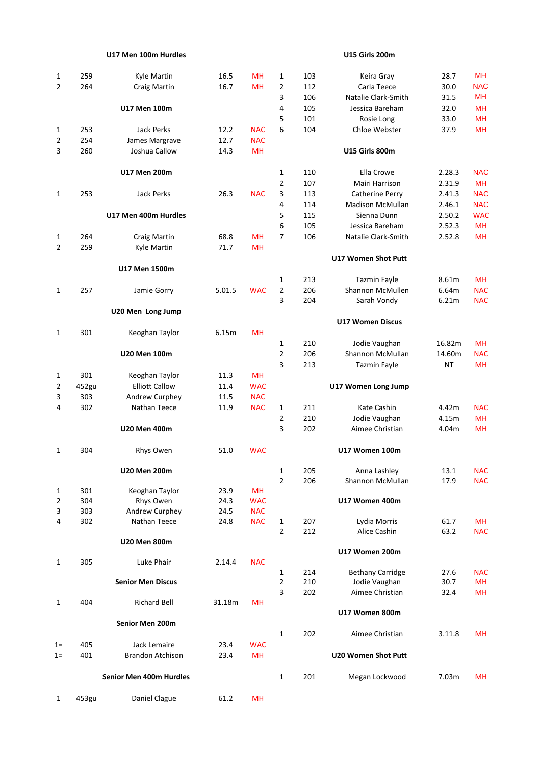## **U17 Men 100m Hurdles**

## **U15 Girls 200m**

| 1              | 259   | Kyle Martin              | 16.5   | MH         | 1              | 103 | Keira Gray                 | 28.7                                                                                                                                                                                                                                                       | <b>MH</b>  |
|----------------|-------|--------------------------|--------|------------|----------------|-----|----------------------------|------------------------------------------------------------------------------------------------------------------------------------------------------------------------------------------------------------------------------------------------------------|------------|
| $\overline{2}$ | 264   | Craig Martin             | 16.7   | <b>MH</b>  | $\overline{2}$ | 112 | Carla Teece                | 30.0                                                                                                                                                                                                                                                       | <b>NAC</b> |
|                |       |                          |        |            | 3              | 106 | Natalie Clark-Smith        |                                                                                                                                                                                                                                                            | <b>MH</b>  |
|                |       | U17 Men 100m             |        |            | 4              | 105 | Jessica Bareham            |                                                                                                                                                                                                                                                            | <b>MH</b>  |
|                |       |                          |        |            | 5              | 101 | Rosie Long                 |                                                                                                                                                                                                                                                            | <b>MH</b>  |
| 1              | 253   | <b>Jack Perks</b>        | 12.2   | <b>NAC</b> | 6              | 104 | Chloe Webster              |                                                                                                                                                                                                                                                            | <b>MH</b>  |
|                | 254   |                          | 12.7   | <b>NAC</b> |                |     |                            |                                                                                                                                                                                                                                                            |            |
| $\overline{2}$ |       | James Margrave           |        |            |                |     |                            |                                                                                                                                                                                                                                                            |            |
| 3              | 260   | Joshua Callow            | 14.3   | <b>MH</b>  |                |     | <b>U15 Girls 800m</b>      |                                                                                                                                                                                                                                                            |            |
|                |       | U17 Men 200m             |        |            | $\mathbf{1}$   | 110 | Ella Crowe                 | 2.28.3                                                                                                                                                                                                                                                     | <b>NAC</b> |
|                |       |                          |        |            | $\overline{2}$ | 107 | Mairi Harrison             |                                                                                                                                                                                                                                                            | <b>MH</b>  |
| 1              | 253   | <b>Jack Perks</b>        | 26.3   | <b>NAC</b> | 3              | 113 | Catherine Perry            |                                                                                                                                                                                                                                                            | <b>NAC</b> |
|                |       |                          |        |            | 4              | 114 | Madison McMullan           |                                                                                                                                                                                                                                                            | <b>NAC</b> |
|                |       | U17 Men 400m Hurdles     |        |            | 5              | 115 | Sienna Dunn                |                                                                                                                                                                                                                                                            | <b>WAC</b> |
|                |       |                          |        |            | 6              | 105 | Jessica Bareham            |                                                                                                                                                                                                                                                            | <b>MH</b>  |
| 1              | 264   | Craig Martin             | 68.8   | <b>MH</b>  | $\overline{7}$ | 106 | Natalie Clark-Smith        |                                                                                                                                                                                                                                                            | <b>MH</b>  |
|                |       |                          |        |            |                |     |                            |                                                                                                                                                                                                                                                            |            |
| $\overline{2}$ | 259   | Kyle Martin              | 71.7   | <b>MH</b>  |                |     | U17 Women Shot Putt        |                                                                                                                                                                                                                                                            |            |
|                |       | U17 Men 1500m            |        |            |                |     |                            |                                                                                                                                                                                                                                                            |            |
|                |       |                          |        |            | 1              | 213 | Tazmin Fayle               |                                                                                                                                                                                                                                                            | MH         |
| $\mathbf{1}$   | 257   | Jamie Gorry              | 5.01.5 | <b>WAC</b> | $\overline{2}$ | 206 | Shannon McMullen           |                                                                                                                                                                                                                                                            | <b>NAC</b> |
|                |       |                          |        |            | 3              | 204 | Sarah Vondy                |                                                                                                                                                                                                                                                            | <b>NAC</b> |
|                |       | U20 Men Long Jump        |        |            |                |     |                            |                                                                                                                                                                                                                                                            |            |
|                |       |                          |        |            |                |     | <b>U17 Women Discus</b>    |                                                                                                                                                                                                                                                            |            |
| 1              | 301   | Keoghan Taylor           | 6.15m  | <b>MH</b>  |                |     |                            |                                                                                                                                                                                                                                                            |            |
|                |       |                          |        |            | $\mathbf{1}$   | 210 | Jodie Vaughan              |                                                                                                                                                                                                                                                            | MH         |
|                |       | <b>U20 Men 100m</b>      |        |            | $\overline{2}$ | 206 | Shannon McMullan           |                                                                                                                                                                                                                                                            | <b>NAC</b> |
|                |       |                          |        |            | 3              | 213 | <b>Tazmin Fayle</b>        |                                                                                                                                                                                                                                                            | MН         |
| 1              | 301   | Keoghan Taylor           | 11.3   | <b>MH</b>  |                |     |                            |                                                                                                                                                                                                                                                            |            |
| 2              | 452gu | <b>Elliott Callow</b>    | 11.4   | <b>WAC</b> |                |     | U17 Women Long Jump        |                                                                                                                                                                                                                                                            |            |
|                | 303   |                          |        | <b>NAC</b> |                |     |                            |                                                                                                                                                                                                                                                            |            |
| 3              |       | Andrew Curphey           | 11.5   |            |                |     |                            |                                                                                                                                                                                                                                                            |            |
| 4              | 302   | Nathan Teece             | 11.9   | <b>NAC</b> | $\mathbf{1}$   | 211 | Kate Cashin                |                                                                                                                                                                                                                                                            | <b>NAC</b> |
|                |       |                          |        |            | $\overline{2}$ | 210 | Jodie Vaughan              |                                                                                                                                                                                                                                                            | <b>MH</b>  |
|                |       | <b>U20 Men 400m</b>      |        |            | 3              | 202 | Aimee Christian            |                                                                                                                                                                                                                                                            | <b>MH</b>  |
| 1              | 304   | Rhys Owen                | 51.0   | <b>WAC</b> |                |     | U17 Women 100m             | 31.5<br>32.0<br>33.0<br>37.9<br>2.31.9<br>2.41.3<br>2.46.1<br>2.50.2<br>2.52.3<br>2.52.8<br>8.61m<br>6.64m<br>6.21m<br>16.82m<br>14.60m<br><b>NT</b><br>4.42m<br>4.15m<br>4.04m<br>13.1<br>17.9<br>61.7<br>63.2<br>27.6<br>30.7<br>32.4<br>3.11.8<br>7.03m |            |
|                |       | <b>U20 Men 200m</b>      |        |            | $\mathbf{1}$   | 205 | Anna Lashley               |                                                                                                                                                                                                                                                            | <b>NAC</b> |
|                |       |                          |        |            | $\overline{2}$ | 206 | Shannon McMullan           |                                                                                                                                                                                                                                                            | <b>NAC</b> |
| 1              | 301   | Keoghan Taylor           | 23.9   | MH         |                |     |                            |                                                                                                                                                                                                                                                            |            |
| 2              | 304   | Rhys Owen                | 24.3   | <b>WAC</b> |                |     | U17 Women 400m             |                                                                                                                                                                                                                                                            |            |
| 3              | 303   | Andrew Curphey           | 24.5   | <b>NAC</b> |                |     |                            |                                                                                                                                                                                                                                                            |            |
| 4              | 302   | Nathan Teece             | 24.8   | <b>NAC</b> | $\mathbf{1}$   | 207 | Lydia Morris               |                                                                                                                                                                                                                                                            | <b>MH</b>  |
|                |       |                          |        |            | $\overline{2}$ | 212 | Alice Cashin               |                                                                                                                                                                                                                                                            | <b>NAC</b> |
|                |       | <b>U20 Men 800m</b>      |        |            |                |     |                            |                                                                                                                                                                                                                                                            |            |
|                |       |                          |        |            |                |     | U17 Women 200m             |                                                                                                                                                                                                                                                            |            |
| 1              | 305   | Luke Phair               | 2.14.4 | <b>NAC</b> |                |     |                            |                                                                                                                                                                                                                                                            |            |
|                |       |                          |        |            | $\mathbf{1}$   | 214 | <b>Bethany Carridge</b>    |                                                                                                                                                                                                                                                            | <b>NAC</b> |
|                |       | <b>Senior Men Discus</b> |        |            | $\overline{2}$ | 210 | Jodie Vaughan              |                                                                                                                                                                                                                                                            | <b>MH</b>  |
|                |       |                          |        |            | 3              | 202 | Aimee Christian            |                                                                                                                                                                                                                                                            | <b>MH</b>  |
| $\mathbf{1}$   | 404   | <b>Richard Bell</b>      | 31.18m | MH         |                |     |                            |                                                                                                                                                                                                                                                            |            |
|                |       |                          |        |            |                |     | U17 Women 800m             |                                                                                                                                                                                                                                                            |            |
|                |       | Senior Men 200m          |        |            |                |     |                            |                                                                                                                                                                                                                                                            |            |
|                |       |                          |        |            | $\mathbf{1}$   | 202 | Aimee Christian            |                                                                                                                                                                                                                                                            | MН         |
| $1=$           | 405   | Jack Lemaire             | 23.4   | <b>WAC</b> |                |     |                            |                                                                                                                                                                                                                                                            |            |
| $1 =$          | 401   | <b>Brandon Atchison</b>  | 23.4   | <b>MH</b>  |                |     | <b>U20 Women Shot Putt</b> |                                                                                                                                                                                                                                                            |            |
|                |       | Senior Men 400m Hurdles  |        |            | $\mathbf{1}$   | 201 | Megan Lockwood             |                                                                                                                                                                                                                                                            | MН         |
|                |       |                          |        |            |                |     |                            |                                                                                                                                                                                                                                                            |            |
| $\mathbf{1}$   | 453gu | Daniel Clague            | 61.2   | MН         |                |     |                            |                                                                                                                                                                                                                                                            |            |